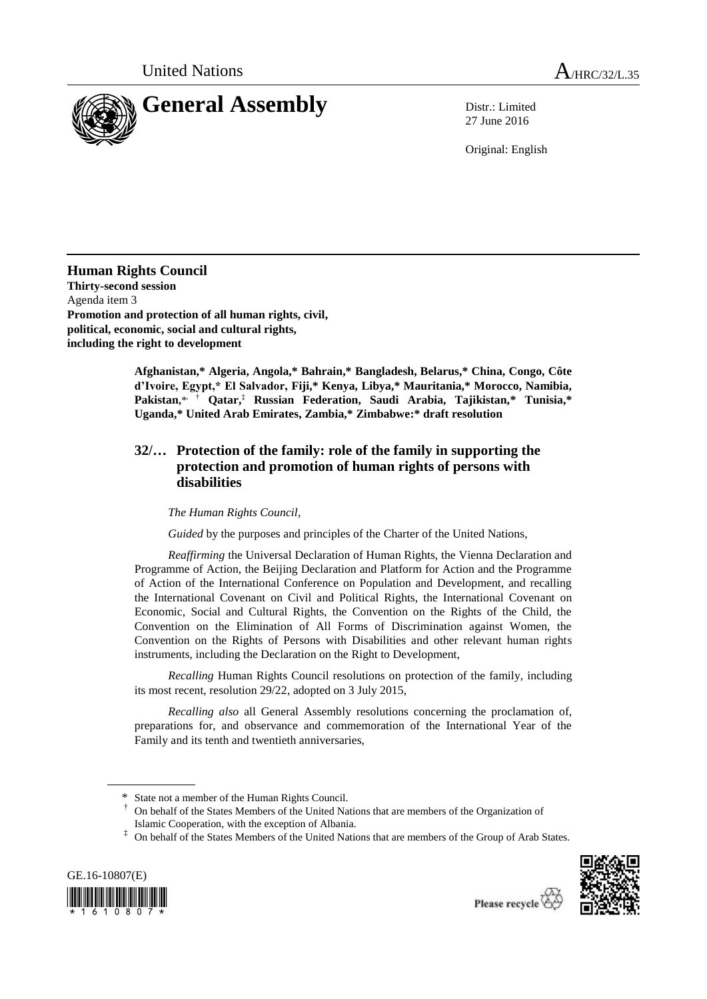

27 June 2016

Original: English

**Human Rights Council Thirty-second session** Agenda item 3 **Promotion and protection of all human rights, civil, political, economic, social and cultural rights, including the right to development**

> **Afghanistan,\* Algeria, Angola,\* Bahrain,\* Bangladesh, Belarus,\* China, Congo, Côte d'Ivoire, Egypt,\* El Salvador, Fiji,\* Kenya, Libya,\* Mauritania,\* Morocco, Namibia, Pakistan,**\* , † **Qatar,‡ Russian Federation, Saudi Arabia, Tajikistan,\* Tunisia,\* Uganda,\* United Arab Emirates, Zambia,\* Zimbabwe:\* draft resolution**

## **32/… Protection of the family: role of the family in supporting the protection and promotion of human rights of persons with disabilities**

*The Human Rights Council*,

*Guided* by the purposes and principles of the Charter of the United Nations,

*Reaffirming* the Universal Declaration of Human Rights, the Vienna Declaration and Programme of Action, the Beijing Declaration and Platform for Action and the Programme of Action of the International Conference on Population and Development, and recalling the International Covenant on Civil and Political Rights, the International Covenant on Economic, Social and Cultural Rights, the Convention on the Rights of the Child, the Convention on the Elimination of All Forms of Discrimination against Women, the Convention on the Rights of Persons with Disabilities and other relevant human rights instruments, including the Declaration on the Right to Development,

*Recalling* Human Rights Council resolutions on protection of the family, including its most recent, resolution 29/22, adopted on 3 July 2015,

*Recalling also* all General Assembly resolutions concerning the proclamation of, preparations for, and observance and commemoration of the International Year of the Family and its tenth and twentieth anniversaries,

<sup>‡</sup> On behalf of the States Members of the United Nations that are members of the Group of Arab States.





<sup>\*</sup> State not a member of the Human Rights Council.

<sup>†</sup> On behalf of the States Members of the United Nations that are members of the Organization of Islamic Cooperation, with the exception of Albania.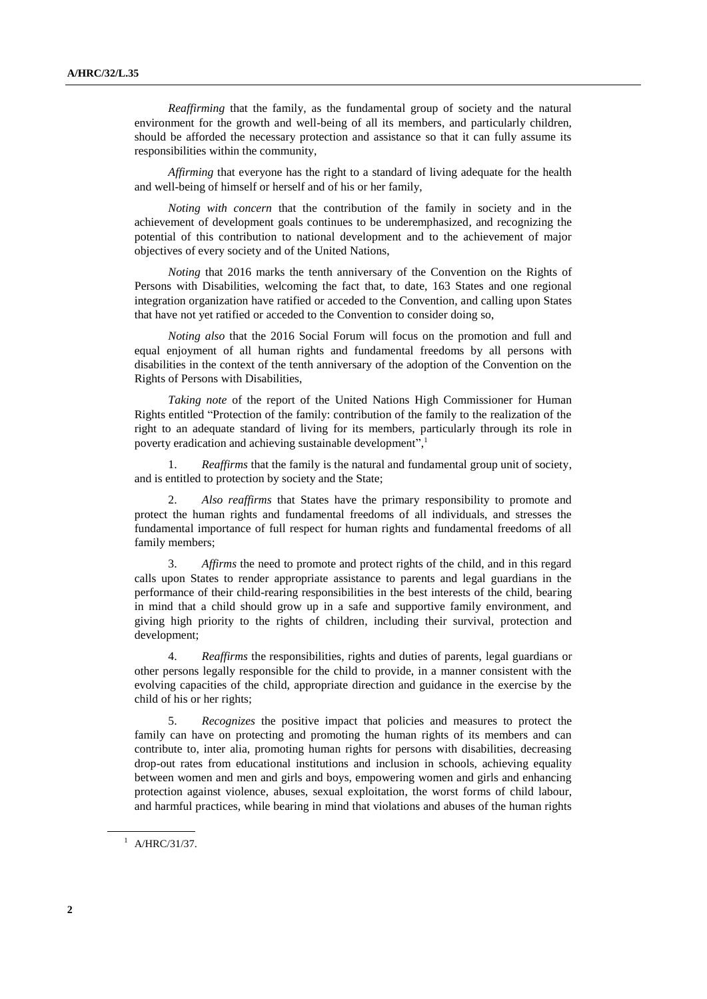*Reaffirming* that the family, as the fundamental group of society and the natural environment for the growth and well-being of all its members, and particularly children, should be afforded the necessary protection and assistance so that it can fully assume its responsibilities within the community,

*Affirming* that everyone has the right to a standard of living adequate for the health and well-being of himself or herself and of his or her family,

*Noting with concern* that the contribution of the family in society and in the achievement of development goals continues to be underemphasized, and recognizing the potential of this contribution to national development and to the achievement of major objectives of every society and of the United Nations,

*Noting* that 2016 marks the tenth anniversary of the Convention on the Rights of Persons with Disabilities, welcoming the fact that, to date, 163 States and one regional integration organization have ratified or acceded to the Convention, and calling upon States that have not yet ratified or acceded to the Convention to consider doing so,

*Noting also* that the 2016 Social Forum will focus on the promotion and full and equal enjoyment of all human rights and fundamental freedoms by all persons with disabilities in the context of the tenth anniversary of the adoption of the Convention on the Rights of Persons with Disabilities,

*Taking note* of the report of the United Nations High Commissioner for Human Rights entitled "Protection of the family: contribution of the family to the realization of the right to an adequate standard of living for its members, particularly through its role in poverty eradication and achieving sustainable development", 1

1. *Reaffirms* that the family is the natural and fundamental group unit of society, and is entitled to protection by society and the State;

2. *Also reaffirms* that States have the primary responsibility to promote and protect the human rights and fundamental freedoms of all individuals, and stresses the fundamental importance of full respect for human rights and fundamental freedoms of all family members;

3. *Affirms* the need to promote and protect rights of the child, and in this regard calls upon States to render appropriate assistance to parents and legal guardians in the performance of their child-rearing responsibilities in the best interests of the child, bearing in mind that a child should grow up in a safe and supportive family environment, and giving high priority to the rights of children, including their survival, protection and development;

4. *Reaffirms* the responsibilities, rights and duties of parents, legal guardians or other persons legally responsible for the child to provide, in a manner consistent with the evolving capacities of the child, appropriate direction and guidance in the exercise by the child of his or her rights;

5. *Recognizes* the positive impact that policies and measures to protect the family can have on protecting and promoting the human rights of its members and can contribute to, inter alia, promoting human rights for persons with disabilities, decreasing drop-out rates from educational institutions and inclusion in schools, achieving equality between women and men and girls and boys, empowering women and girls and enhancing protection against violence, abuses, sexual exploitation, the worst forms of child labour, and harmful practices, while bearing in mind that violations and abuses of the human rights

 $^{1}$  A/HRC/31/37.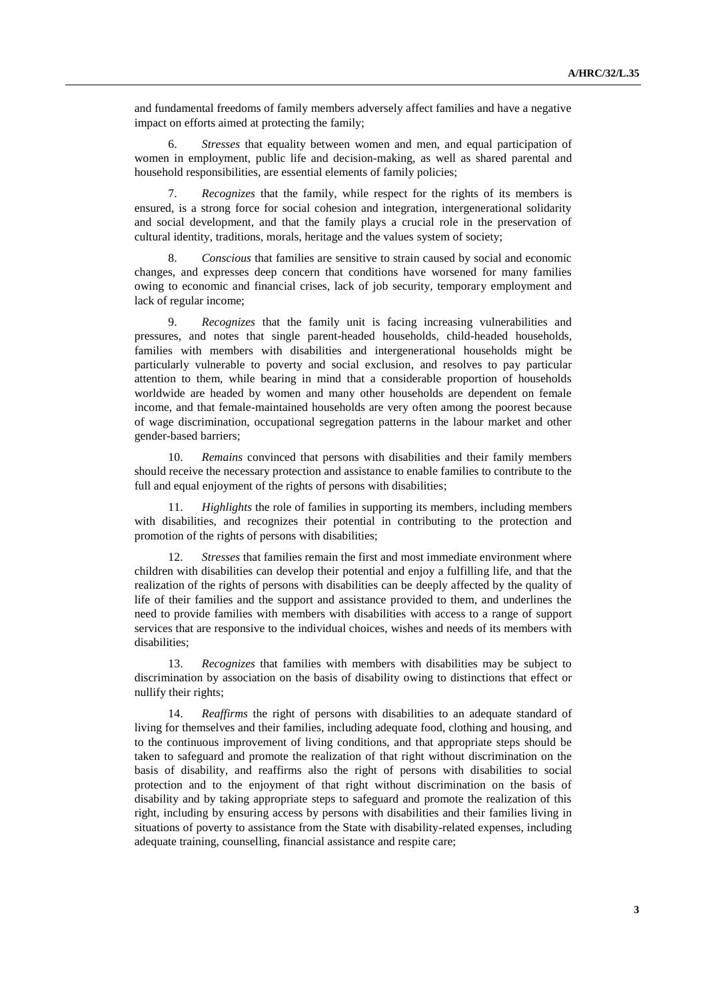and fundamental freedoms of family members adversely affect families and have a negative impact on efforts aimed at protecting the family;

6. *Stresses* that equality between women and men, and equal participation of women in employment, public life and decision-making, as well as shared parental and household responsibilities, are essential elements of family policies;

7. *Recognizes* that the family, while respect for the rights of its members is ensured, is a strong force for social cohesion and integration, intergenerational solidarity and social development, and that the family plays a crucial role in the preservation of cultural identity, traditions, morals, heritage and the values system of society;

8. *Conscious* that families are sensitive to strain caused by social and economic changes, and expresses deep concern that conditions have worsened for many families owing to economic and financial crises, lack of job security, temporary employment and lack of regular income;

9. *Recognizes* that the family unit is facing increasing vulnerabilities and pressures, and notes that single parent-headed households, child-headed households, families with members with disabilities and intergenerational households might be particularly vulnerable to poverty and social exclusion, and resolves to pay particular attention to them, while bearing in mind that a considerable proportion of households worldwide are headed by women and many other households are dependent on female income, and that female-maintained households are very often among the poorest because of wage discrimination, occupational segregation patterns in the labour market and other gender-based barriers;

10. *Remains* convinced that persons with disabilities and their family members should receive the necessary protection and assistance to enable families to contribute to the full and equal enjoyment of the rights of persons with disabilities;

11. *Highlights* the role of families in supporting its members, including members with disabilities, and recognizes their potential in contributing to the protection and promotion of the rights of persons with disabilities;

12. *Stresses* that families remain the first and most immediate environment where children with disabilities can develop their potential and enjoy a fulfilling life, and that the realization of the rights of persons with disabilities can be deeply affected by the quality of life of their families and the support and assistance provided to them, and underlines the need to provide families with members with disabilities with access to a range of support services that are responsive to the individual choices, wishes and needs of its members with disabilities;

13. *Recognizes* that families with members with disabilities may be subject to discrimination by association on the basis of disability owing to distinctions that effect or nullify their rights;

14. *Reaffirms* the right of persons with disabilities to an adequate standard of living for themselves and their families, including adequate food, clothing and housing, and to the continuous improvement of living conditions, and that appropriate steps should be taken to safeguard and promote the realization of that right without discrimination on the basis of disability, and reaffirms also the right of persons with disabilities to social protection and to the enjoyment of that right without discrimination on the basis of disability and by taking appropriate steps to safeguard and promote the realization of this right, including by ensuring access by persons with disabilities and their families living in situations of poverty to assistance from the State with disability-related expenses, including adequate training, counselling, financial assistance and respite care;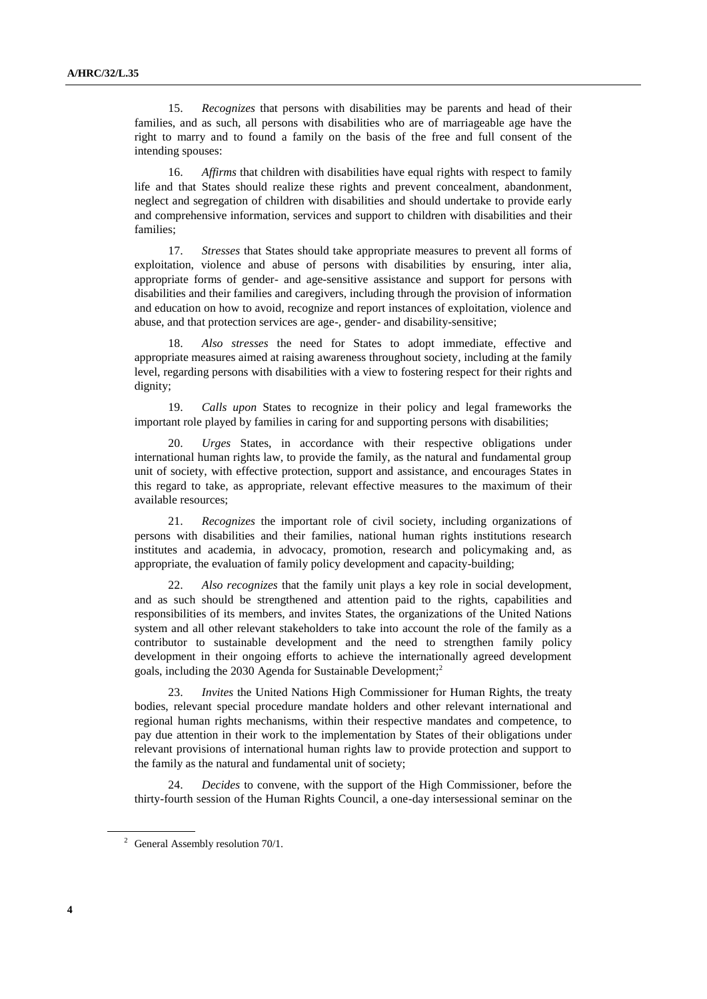15. *Recognizes* that persons with disabilities may be parents and head of their families, and as such, all persons with disabilities who are of marriageable age have the right to marry and to found a family on the basis of the free and full consent of the intending spouses:

16. *Affirms* that children with disabilities have equal rights with respect to family life and that States should realize these rights and prevent concealment, abandonment, neglect and segregation of children with disabilities and should undertake to provide early and comprehensive information, services and support to children with disabilities and their families;

17. *Stresses* that States should take appropriate measures to prevent all forms of exploitation, violence and abuse of persons with disabilities by ensuring, inter alia, appropriate forms of gender- and age-sensitive assistance and support for persons with disabilities and their families and caregivers, including through the provision of information and education on how to avoid, recognize and report instances of exploitation, violence and abuse, and that protection services are age-, gender- and disability-sensitive;

18. *Also stresses* the need for States to adopt immediate, effective and appropriate measures aimed at raising awareness throughout society, including at the family level, regarding persons with disabilities with a view to fostering respect for their rights and dignity;

19. *Calls upon* States to recognize in their policy and legal frameworks the important role played by families in caring for and supporting persons with disabilities;

20. *Urges* States, in accordance with their respective obligations under international human rights law, to provide the family, as the natural and fundamental group unit of society, with effective protection, support and assistance, and encourages States in this regard to take, as appropriate, relevant effective measures to the maximum of their available resources;

21. *Recognizes* the important role of civil society, including organizations of persons with disabilities and their families, national human rights institutions research institutes and academia, in advocacy, promotion, research and policymaking and, as appropriate, the evaluation of family policy development and capacity-building;

22. *Also recognizes* that the family unit plays a key role in social development, and as such should be strengthened and attention paid to the rights, capabilities and responsibilities of its members, and invites States, the organizations of the United Nations system and all other relevant stakeholders to take into account the role of the family as a contributor to sustainable development and the need to strengthen family policy development in their ongoing efforts to achieve the internationally agreed development goals, including the 2030 Agenda for Sustainable Development; 2

23. *Invites* the United Nations High Commissioner for Human Rights, the treaty bodies, relevant special procedure mandate holders and other relevant international and regional human rights mechanisms, within their respective mandates and competence, to pay due attention in their work to the implementation by States of their obligations under relevant provisions of international human rights law to provide protection and support to the family as the natural and fundamental unit of society;

24. *Decides* to convene, with the support of the High Commissioner, before the thirty-fourth session of the Human Rights Council, a one-day intersessional seminar on the

<sup>&</sup>lt;sup>2</sup> General Assembly resolution  $70/1$ .